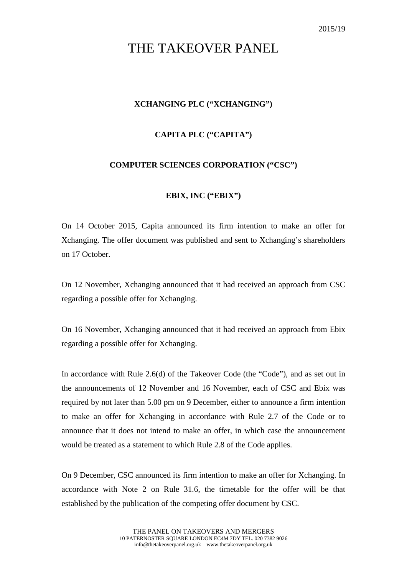# THE TAKEOVER PANEL

## **XCHANGING PLC ("XCHANGING")**

### **CAPITA PLC ("CAPITA")**

#### **COMPUTER SCIENCES CORPORATION ("CSC")**

### **EBIX, INC ("EBIX")**

On 14 October 2015, Capita announced its firm intention to make an offer for Xchanging. The offer document was published and sent to Xchanging's shareholders on 17 October.

On 12 November, Xchanging announced that it had received an approach from CSC regarding a possible offer for Xchanging.

On 16 November, Xchanging announced that it had received an approach from Ebix regarding a possible offer for Xchanging.

In accordance with Rule 2.6(d) of the Takeover Code (the "Code"), and as set out in the announcements of 12 November and 16 November, each of CSC and Ebix was required by not later than 5.00 pm on 9 December, either to announce a firm intention to make an offer for Xchanging in accordance with Rule 2.7 of the Code or to announce that it does not intend to make an offer, in which case the announcement would be treated as a statement to which Rule 2.8 of the Code applies.

On 9 December, CSC announced its firm intention to make an offer for Xchanging. In accordance with Note 2 on Rule 31.6, the timetable for the offer will be that established by the publication of the competing offer document by CSC.